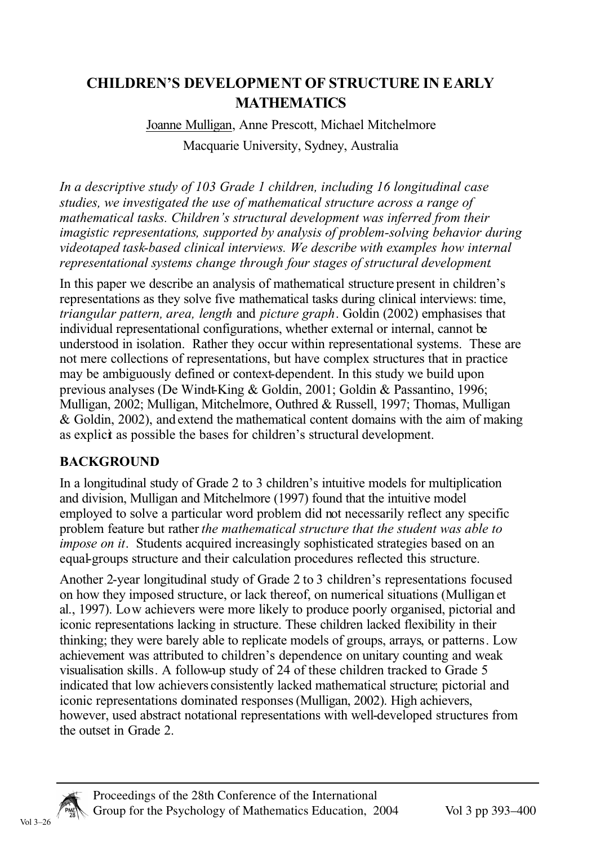# **CHILDREN'S DEVELOPMENT OF STRUCTURE IN EARLY MATHEMATICS**

# Joanne Mulligan, Anne Prescott, Michael Mitchelmore Macquarie University, Sydney, Australia

In a descriptive study of 103 Grade 1 children, including 16 longitudinal case studies, we investigated the use of mathematical structure across a range of mathematical tasks. Children's structural development was inferred from their imagistic representations, supported by analysis of problem-solving behavior during videotaped task-based clinical interviews. We describe with examples how internal representational systems change through four stages of structural development.

In this paper we describe an analysis of mathematical structure present in children's representations as they solve five mathematical tasks during clinical interviews: time, triangular pattern, area, length and picture graph. Goldin (2002) emphasises that individual representational configurations, whether external or internal, cannot be understood in isolation. Rather they occur within representational systems. These are not mere collections of representations, but have complex structures that in practice may be ambiguously defined or context-dependent. In this study we build upon previous analyses (De Windt-King & Goldin, 2001; Goldin & Passantino, 1996; Mulligan, 2002; Mulligan, Mitchelmore, Outhred & Russell, 1997; Thomas, Mulligan & Goldin, 2002), and extend the mathematical content domains with the aim of making as explict as possible the bases for children's structural development.

### **BACKGROUND**

In a longitudinal study of Grade 2 to 3 children's intuitive models for multiplication and division. Mulligan and Mitchelmore (1997) found that the intuitive model employed to solve a particular word problem did not necessarily reflect any specific problem feature but rather the mathematical structure that the student was able to *impose on it.* Students acquired increasingly sophisticated strategies based on an equal-groups structure and their calculation procedures reflected this structure.

Another 2-year longitudinal study of Grade 2 to 3 children's representations focused on how they imposed structure, or lack thereof, on numerical situations (Mulligan et al., 1997). Low achievers were more likely to produce poorly organised, pictorial and iconic representations lacking in structure. These children lacked flexibility in their thinking; they were barely able to replicate models of groups, arrays, or patterns. Low achievement was attributed to children's dependence on unitary counting and weak visualisation skills. A follow-up study of 24 of these children tracked to Grade 5 indicated that low achievers consistently lacked mathematical structure; pictorial and iconic representations dominated responses (Mulligan, 2002). High achievers, however, used abstract notational representations with well-developed structures from the outset in Grade 2.

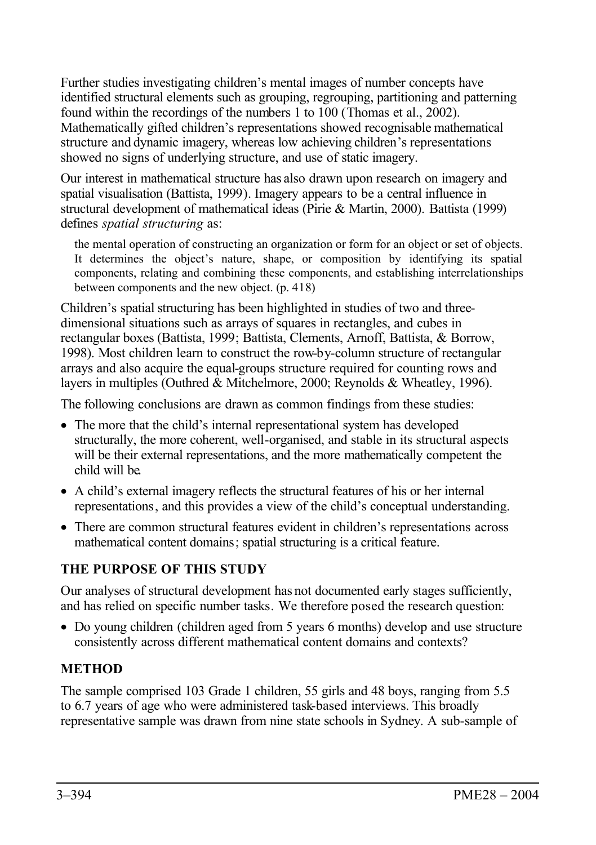Further studies investigating children's mental images of number concepts have identified structural elements such as grouping, regrouping, partitioning and patterning found within the recordings of the numbers 1 to 100 (Thomas et al., 2002). Mathematically gifted children's representations showed recognisable mathematical structure and dynamic imagery, whereas low achieving children's representations showed no signs of underlying structure, and use of static imagery.

Our interest in mathematical structure has also drawn upon research on imagery and spatial visualisation (Battista, 1999). Imagery appears to be a central influence in structural development of mathematical ideas (Pirie & Martin, 2000). Battista (1999) defines *spatial structuring* as:

the mental operation of constructing an organization or form for an object or set of objects. It determines the object's nature, shape, or composition by identifying its spatial components, relating and combining these components, and establishing interrelationships between components and the new object. (p. 418)

Children's spatial structuring has been highlighted in studies of two and threedimensional situations such as arrays of squares in rectangles, and cubes in rectangular boxes (Battista, 1999; Battista, Clements, Arnoff, Battista, & Borrow, 1998). Most children learn to construct the row-by-column structure of rectangular arrays and also acquire the equal-groups structure required for counting rows and layers in multiples (Outhred & Mitchelmore, 2000; Reynolds & Wheatley, 1996).

The following conclusions are drawn as common findings from these studies:

- The more that the child's internal representational system has developed structurally, the more coherent, well-organised, and stable in its structural aspects will be their external representations, and the more mathematically competent the child will be.
- A child's external imagery reflects the structural features of his or her internal representations, and this provides a view of the child's conceptual understanding.
- There are common structural features evident in children's representations across mathematical content domains; spatial structuring is a critical feature.

## **THE PURPOSE OF THIS STUDY**

Our analyses of structural development has not documented early stages sufficiently, and has relied on specific number tasks. We therefore posed the research question:

• Do young children (children aged from 5 years 6 months) develop and use structure consistently across different mathematical content domains and contexts?

## **METHOD**

The sample comprised 103 Grade 1 children, 55 girls and 48 boys, ranging from 5.5 to 6.7 years of age who were administered task-based interviews. This broadly representative sample was drawn from nine state schools in Sydney. A sub-sample of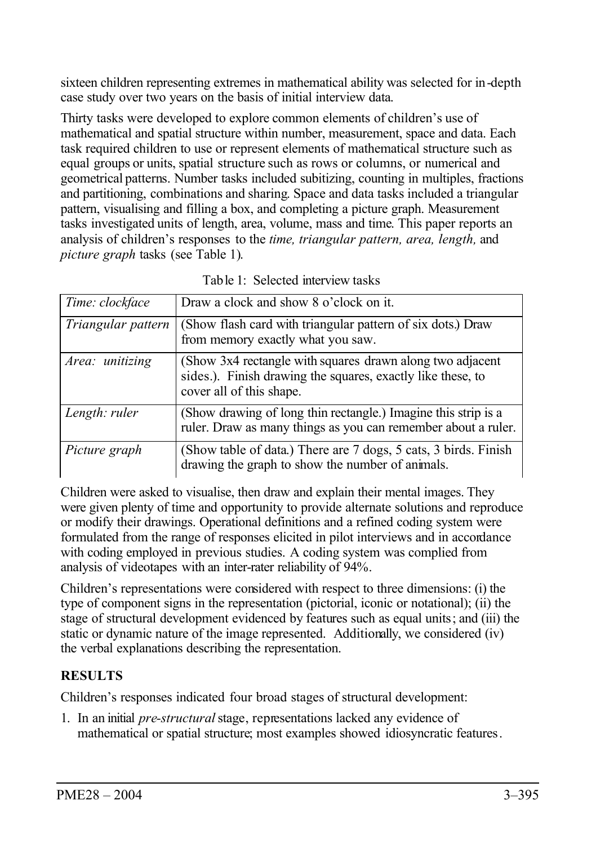sixteen children representing extremes in mathematical ability was selected for in-depth case study over two years on the basis of initial interview data.

Thirty tasks were developed to explore common elements of children's use of mathematical and spatial structure within number, measurement, space and data. Each task required children to use or represent elements of mathematical structure such as equal groups or units, spatial structure such as rows or columns, or numerical and geometrical patterns. Number tasks included subitizing, counting in multiples, fractions and partitioning, combinations and sharing. Space and data tasks included a triangular pattern, visualising and filling a box, and completing a picture graph. Measurement tasks investigated units of length, area, volume, mass and time. This paper reports an analysis of children's responses to the *time, triangular pattern, area, length,* and *picture graph* tasks (see Table 1).

| Time: clockface    | Draw a clock and show 8 o'clock on it.                                                                                                               |
|--------------------|------------------------------------------------------------------------------------------------------------------------------------------------------|
| Triangular pattern | (Show flash card with triangular pattern of six dots.) Draw<br>from memory exactly what you saw.                                                     |
| Area: unitizing    | (Show 3x4 rectangle with squares drawn along two adjacent<br>sides.). Finish drawing the squares, exactly like these, to<br>cover all of this shape. |
| Length: ruler      | (Show drawing of long thin rectangle.) Imagine this strip is a<br>ruler. Draw as many things as you can remember about a ruler.                      |
| Picture graph      | (Show table of data.) There are 7 dogs, 5 cats, 3 birds. Finish<br>drawing the graph to show the number of animals.                                  |

| Table 1: Selected interview tasks |
|-----------------------------------|
|-----------------------------------|

Children were asked to visualise, then draw and explain their mental images. They were given plenty of time and opportunity to provide alternate solutions and reproduce or modify their drawings. Operational definitions and a refined coding system were formulated from the range of responses elicited in pilot interviews and in accordance with coding employed in previous studies. A coding system was complied from analysis of videotapes with an inter-rater reliability of 94%.

Children's representations were considered with respect to three dimensions: (i) the type of component signs in the representation (pictorial, iconic or notational); (ii) the stage of structural development evidenced by features such as equal units; and (iii) the static or dynamic nature of the image represented. Additionally, we considered (iv) the verbal explanations describing the representation.

## **RESULTS**

Children's responses indicated four broad stages of structural development:

1. In an initial *pre-structural* stage, representations lacked any evidence of mathematical or spatial structure; most examples showed idiosyncratic features.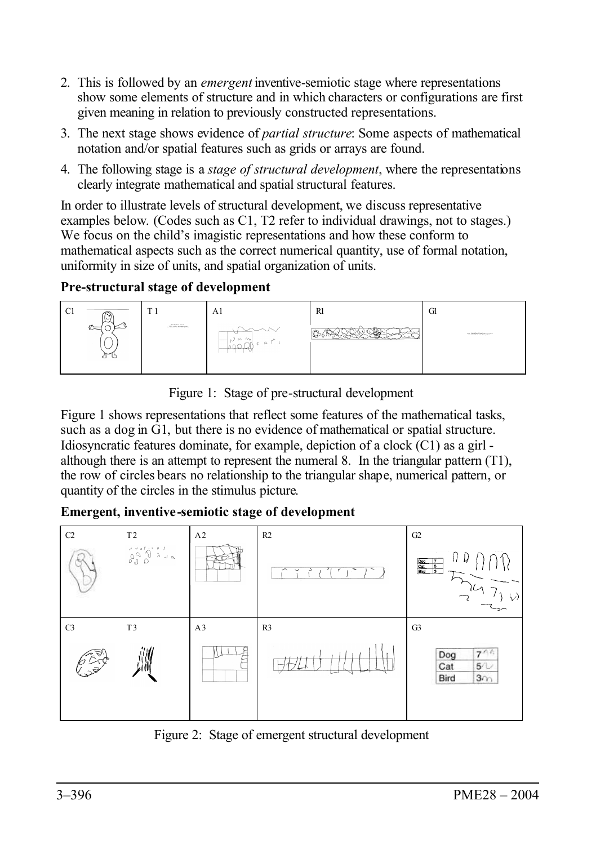- 2. This is followed by an *emergent* inventive-semiotic stage where representations show some elements of structure and in which characters or configurations are first given meaning in relation to previously constructed representations.
- 3. The next stage shows evidence of *partial structure*: Some aspects of mathematical notation and/or spatial features such as grids or arrays are found.
- 4. The following stage is a *stage of structural development*, where the representations clearly integrate mathematical and spatial structural features.

In order to illustrate levels of structural development, we discuss representative examples below. (Codes such as C1, T2 refer to individual drawings, not to stages.) We focus on the child's imagistic representations and how these conform to mathematical aspects such as the correct numerical quantity, use of formal notation, uniformity in size of units, and spatial organization of units.

### **Pre-structural stage of development**



Figure 1: Stage of pre-structural development

Figure 1 shows representations that reflect some features of the mathematical tasks, such as a dog in  $\bar{G}1$ , but there is no evidence of mathematical or spatial structure. Idiosyncratic features dominate, for example, depiction of a clock (C1) as a girl although there is an attempt to represent the numeral 8. In the triangular pattern  $(T1)$ , the row of circles bears no relationship to the triangular shape, numerical pattern, or quantity of the circles in the stimulus picture.

### **Emergent, inventive-semiotic stage of development**



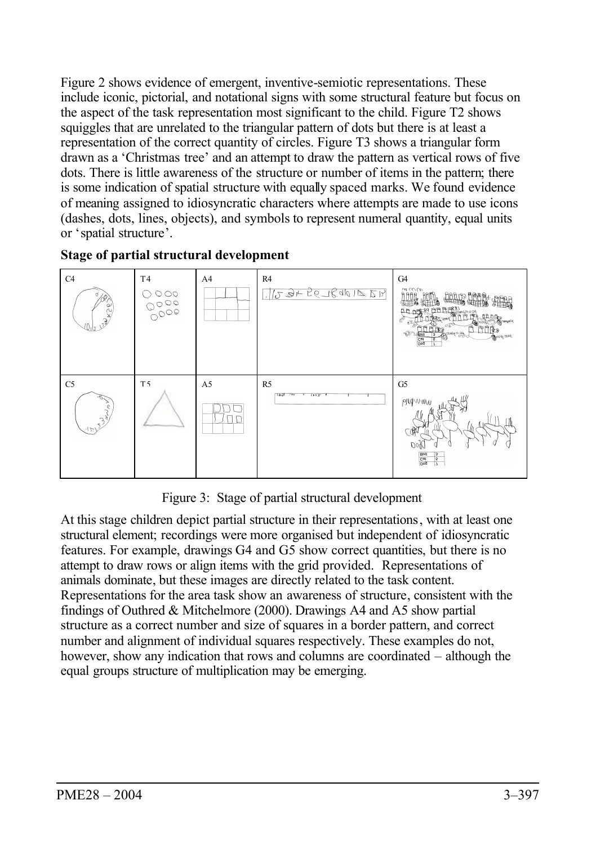Figure 2 shows evidence of emergent, inventive-semiotic representations. These include iconic, pictorial, and notational signs with some structural feature but focus on the aspect of the task representation most significant to the child. Figure T2 shows squiggles that are unrelated to the triangular pattern of dots but there is at least a representation of the correct quantity of circles. Figure T3 shows a triangular form drawn as a 'Christmas tree' and an attempt to draw the pattern as vertical rows of five dots. There is little awareness of the structure or number of items in the pattern; there is some indication of spatial structure with equally spaced marks. We found evidence of meaning assigned to idiosyncratic characters where attempts are made to use icons (dashes, dots, lines, objects), and symbols to represent numeral quantity, equal units or 'spatial structure'.

#### **Stage of partial structural development**



Figure 3: Stage of partial structural development

At this stage children depict partial structure in their representations, with at least one structural element; recordings were more organised but independent of idiosyncratic features. For example, drawings G4 and G5 show correct quantities, but there is no attempt to draw rows or align items with the grid provided. Representations of animals dominate, but these images are directly related to the task content. Representations for the area task show an awareness of structure, consistent with the findings of Outhred & Mitchelmore (2000). Drawings A4 and A5 show partial structure as a correct number and size of squares in a border pattern, and correct number and alignment of individual squares respectively. These examples do not, however, show any indication that rows and columns are coordinated – although the equal groups structure of multiplication may be emerging.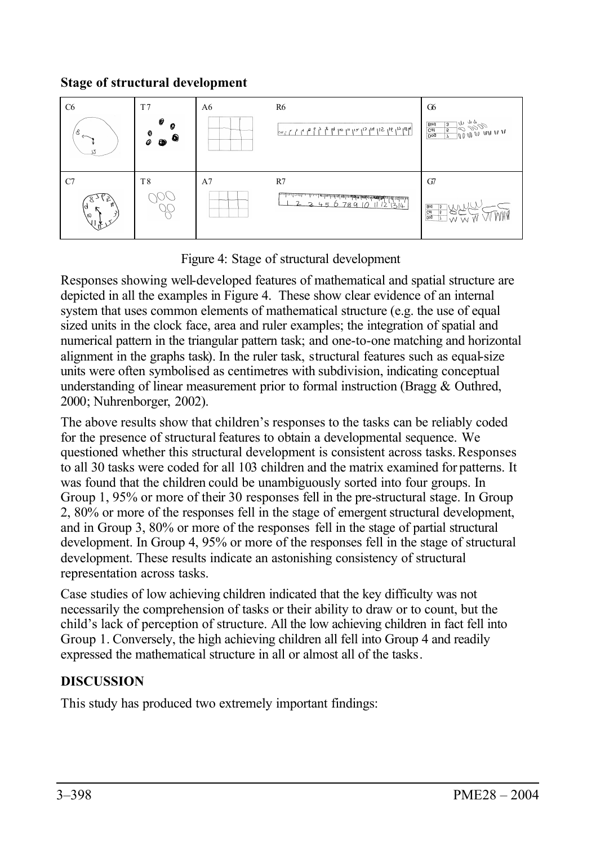### **Stage of structural development**



Figure 4: Stage of structural development

Responses showing well-developed features of mathematical and spatial structure are depicted in all the examples in Figure 4. These show clear evidence of an internal system that uses common elements of mathematical structure (e.g. the use of equal sized units in the clock face, area and ruler examples; the integration of spatial and numerical pattern in the triangular pattern task; and one-to-one matching and horizontal alignment in the graphs task). In the ruler task, structural features such as equal-size units were often symbolised as centimetres with subdivision, indicating conceptual understanding of linear measurement prior to formal instruction (Bragg & Outhred, 2000; Nuhrenborger, 2002).

The above results show that children's responses to the tasks can be reliably coded for the presence of structural features to obtain a developmental sequence. We questioned whether this structural development is consistent across tasks.Responses to all 30 tasks were coded for all 103 children and the matrix examined for patterns. It was found that the children could be unambiguously sorted into four groups. In Group 1, 95% or more of their 30 responses fell in the pre-structural stage. In Group 2, 80% or more of the responses fell in the stage of emergent structural development, and in Group 3, 80% or more of the responses fell in the stage of partial structural development. In Group 4, 95% or more of the responses fell in the stage of structural development. These results indicate an astonishing consistency of structural representation across tasks.

Case studies of low achieving children indicated that the key difficulty was not necessarily the comprehension of tasks or their ability to draw or to count, but the child's lack of perception of structure. All the low achieving children in fact fell into Group 1. Conversely, the high achieving children all fell into Group 4 and readily expressed the mathematical structure in all or almost all of the tasks.

# **DISCUSSION**

This study has produced two extremely important findings: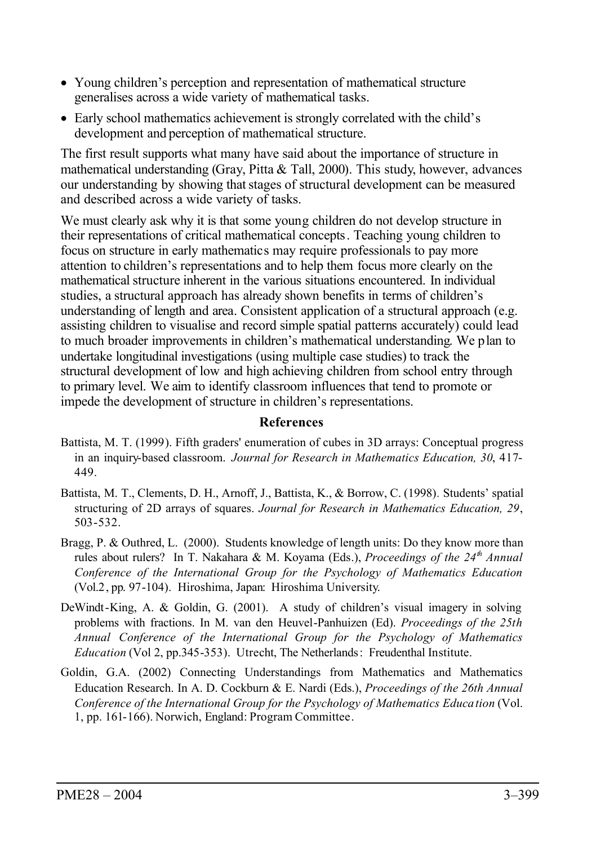- Young children's perception and representation of mathematical structure generalises across a wide variety of mathematical tasks.
- Early school mathematics achievement is strongly correlated with the child's development and perception of mathematical structure.

The first result supports what many have said about the importance of structure in mathematical understanding (Gray, Pitta  $\&$  Tall, 2000). This study, however, advances our understanding by showing that stages of structural development can be measured and described across a wide variety of tasks.

We must clearly ask why it is that some young children do not develop structure in their representations of critical mathematical concepts. Teaching young children to focus on structure in early mathematics may require professionals to pay more attention to children's representations and to help them focus more clearly on the mathematical structure inherent in the various situations encountered. In individual studies, a structural approach has already shown benefits in terms of children's understanding of length and area. Consistent application of a structural approach (e.g. assisting children to visualise and record simple spatial patterns accurately) could lead to much broader improvements in children's mathematical understanding. We plan to undertake longitudinal investigations (using multiple case studies) to track the structural development of low and high achieving children from school entry through to primary level. We aim to identify classroom influences that tend to promote or impede the development of structure in children's representations.

#### **References**

- Battista, M. T. (1999). Fifth graders' enumeration of cubes in 3D arrays: Conceptual progress in an inquiry-based classroom. *Journal for Research in Mathematics Education, 30*, 417- 449.
- Battista, M. T., Clements, D. H., Arnoff, J., Battista, K., & Borrow, C. (1998)*.* Students' spatial structuring of 2D arrays of squares. *Journal for Research in Mathematics Education, 29*, 503-532.
- Bragg, P. & Outhred, L. (2000). Students knowledge of length units: Do they know more than rules about rulers? In T. Nakahara & M. Koyama (Eds.), *Proceedings of the 24th Annual Conference of the International Group for the Psychology of Mathematics Education* (Vol.2, pp. 97-104). Hiroshima, Japan: Hiroshima University.
- DeWindt-King, A. & Goldin, G. (2001). A study of children's visual imagery in solving problems with fractions. In M. van den Heuvel-Panhuizen (Ed). *Proceedings of the 25th Annual Conference of the International Group for the Psychology of Mathematics Education* (Vol 2, pp.345-353). Utrecht, The Netherlands: Freudenthal Institute.
- Goldin, G.A. (2002) Connecting Understandings from Mathematics and Mathematics Education Research. In A. D. Cockburn & E. Nardi (Eds.), *Proceedings of the 26th Annual Conference of the International Group for the Psychology of Mathematics Education* (Vol. 1, pp. 161-166). Norwich, England: Program Committee.